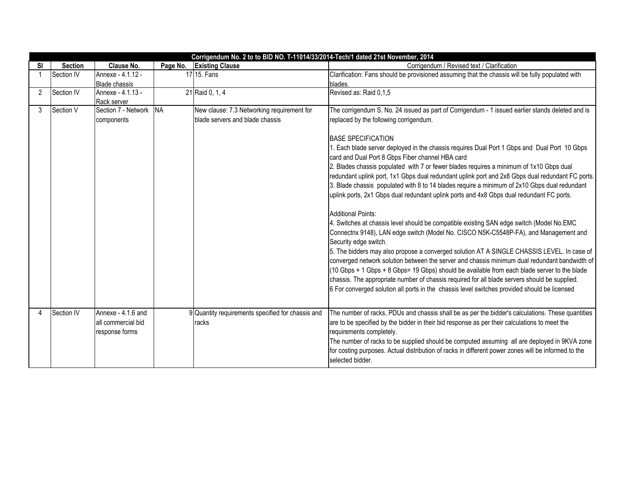| Corrigendum No. 2 to to BID NO. T-11014/33/2014-Tech/1 dated 21st November, 2014 |                |                                                            |           |                                                            |                                                                                                                                                                                                                                                                                                                                                                                                                                                                                                                                                                                                                                                                                                                                                                                                                                                                                                                                                                                                                                                                                                                                                                                                                                                                                                                     |  |  |  |  |
|----------------------------------------------------------------------------------|----------------|------------------------------------------------------------|-----------|------------------------------------------------------------|---------------------------------------------------------------------------------------------------------------------------------------------------------------------------------------------------------------------------------------------------------------------------------------------------------------------------------------------------------------------------------------------------------------------------------------------------------------------------------------------------------------------------------------------------------------------------------------------------------------------------------------------------------------------------------------------------------------------------------------------------------------------------------------------------------------------------------------------------------------------------------------------------------------------------------------------------------------------------------------------------------------------------------------------------------------------------------------------------------------------------------------------------------------------------------------------------------------------------------------------------------------------------------------------------------------------|--|--|--|--|
| SI                                                                               | <b>Section</b> | Clause No.                                                 | Page No.  | <b>Existing Clause</b>                                     | Corrigendum / Revised text / Clarification                                                                                                                                                                                                                                                                                                                                                                                                                                                                                                                                                                                                                                                                                                                                                                                                                                                                                                                                                                                                                                                                                                                                                                                                                                                                          |  |  |  |  |
|                                                                                  | Section IV     | Annexe - 4.1.12 -                                          |           | 17 15. Fans                                                | Clarification: Fans should be provisioned assuming that the chassis will be fully populated with                                                                                                                                                                                                                                                                                                                                                                                                                                                                                                                                                                                                                                                                                                                                                                                                                                                                                                                                                                                                                                                                                                                                                                                                                    |  |  |  |  |
|                                                                                  |                | <b>Blade chassis</b>                                       |           |                                                            | blades.                                                                                                                                                                                                                                                                                                                                                                                                                                                                                                                                                                                                                                                                                                                                                                                                                                                                                                                                                                                                                                                                                                                                                                                                                                                                                                             |  |  |  |  |
| 2                                                                                | Section IV     | Annexe - 4.1.13 -                                          |           | 21 Raid 0, 1, 4                                            | Revised as: Raid 0,1,5                                                                                                                                                                                                                                                                                                                                                                                                                                                                                                                                                                                                                                                                                                                                                                                                                                                                                                                                                                                                                                                                                                                                                                                                                                                                                              |  |  |  |  |
|                                                                                  |                | Rack server                                                |           |                                                            |                                                                                                                                                                                                                                                                                                                                                                                                                                                                                                                                                                                                                                                                                                                                                                                                                                                                                                                                                                                                                                                                                                                                                                                                                                                                                                                     |  |  |  |  |
| 3                                                                                | Section V      | Section 7 - Network                                        | <b>NA</b> | New clause: 7.3 Networking requirement for                 | The corrigendum S. No. 24 issued as part of Corrigendum - 1 issued earlier stands deleted and is                                                                                                                                                                                                                                                                                                                                                                                                                                                                                                                                                                                                                                                                                                                                                                                                                                                                                                                                                                                                                                                                                                                                                                                                                    |  |  |  |  |
|                                                                                  |                | components                                                 |           | blade servers and blade chassis                            | replaced by the following corrigendum.                                                                                                                                                                                                                                                                                                                                                                                                                                                                                                                                                                                                                                                                                                                                                                                                                                                                                                                                                                                                                                                                                                                                                                                                                                                                              |  |  |  |  |
|                                                                                  |                |                                                            |           |                                                            | <b>BASE SPECIFICATION</b><br>1. Each blade server deployed in the chassis requires Dual Port 1 Gbps and Dual Port 10 Gbps<br>card and Dual Port 8 Gbps Fiber channel HBA card<br>2. Blades chassis populated with 7 or fewer blades requires a minimum of 1x10 Gbps dual<br>redundant uplink port, 1x1 Gbps dual redundant uplink port and 2x8 Gbps dual redundant FC ports.<br>3. Blade chassis populated with 8 to 14 blades require a minimum of 2x10 Gbps dual redundant<br>uplink ports, 2x1 Gbps dual redundant uplink ports and 4x8 Gbps dual redundant FC ports.<br><b>Additional Points:</b><br>4. Switches at chassis level should be compatible existing SAN edge switch (Model No.EMC<br>Connectrix 9148), LAN edge switch (Model No. CISCO N5K-C5548P-FA), and Management and<br>Security edge switch.<br>5. The bidders may also propose a converged solution AT A SINGLE CHASSIS LEVEL. In case of<br>converged network solution between the server and chassis minimum dual redundant bandwidth of<br>(10 Gbps + 1 Gbps + 8 Gbps= 19 Gbps) should be available from each blade server to the blade<br>chassis. The appropriate number of chassis required for all blade servers should be supplied.<br>6 For converged solution all ports in the chassis level switches provided should be licensed |  |  |  |  |
| Δ                                                                                | Section IV     | Annexe - 4.1.6 and<br>all commercial bid<br>response forms |           | 9 Quantity requirements specified for chassis and<br>racks | The number of racks, PDUs and chassis shall be as per the bidder's calculations. These quantities<br>are to be specified by the bidder in their bid response as per their calculations to meet the<br>requirements completely.<br>The number of racks to be supplied should be computed assuming all are deployed in 9KVA zone<br>for costing purposes. Actual distribution of racks in different power zones will be informed to the<br>selected bidder.                                                                                                                                                                                                                                                                                                                                                                                                                                                                                                                                                                                                                                                                                                                                                                                                                                                           |  |  |  |  |